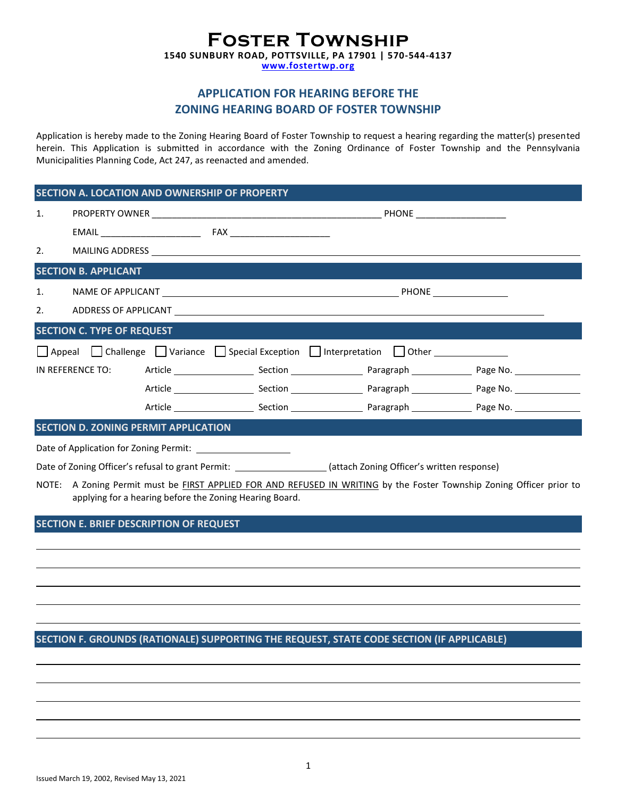## **Foster Township 1540 SUNBURY ROAD, POTTSVILLE, PA 17901 | 570-544-4137**

**[www.fostertwp.org](http://www.fostertwp.org/)**

## **APPLICATION FOR HEARING BEFORE THE ZONING HEARING BOARD OF FOSTER TOWNSHIP**

Application is hereby made to the Zoning Hearing Board of Foster Township to request a hearing regarding the matter(s) presented herein. This Application is submitted in accordance with the Zoning Ordinance of Foster Township and the Pennsylvania Municipalities Planning Code, Act 247, as reenacted and amended.

#### **SECTION A. LOCATION AND OWNERSHIP OF PROPERTY**

| 1.                                                                                                               |                                      |  |                                                                  |  |  |  |
|------------------------------------------------------------------------------------------------------------------|--------------------------------------|--|------------------------------------------------------------------|--|--|--|
|                                                                                                                  |                                      |  |                                                                  |  |  |  |
|                                                                                                                  |                                      |  |                                                                  |  |  |  |
|                                                                                                                  | <b>SECTION B. APPLICANT</b>          |  |                                                                  |  |  |  |
|                                                                                                                  |                                      |  |                                                                  |  |  |  |
|                                                                                                                  |                                      |  |                                                                  |  |  |  |
|                                                                                                                  | <b>SECTION C. TYPE OF REQUEST</b>    |  |                                                                  |  |  |  |
|                                                                                                                  |                                      |  | Appeal Challenge Variance Special Exception Interpretation Other |  |  |  |
|                                                                                                                  |                                      |  |                                                                  |  |  |  |
|                                                                                                                  |                                      |  |                                                                  |  |  |  |
|                                                                                                                  |                                      |  |                                                                  |  |  |  |
|                                                                                                                  | SECTION D. ZONING PERMIT APPLICATION |  |                                                                  |  |  |  |
|                                                                                                                  |                                      |  |                                                                  |  |  |  |
| Date of Zoning Officer's refusal to grant Permit: ____________________(attach Zoning Officer's written response) |                                      |  |                                                                  |  |  |  |

NOTE: A Zoning Permit must be FIRST APPLIED FOR AND REFUSED IN WRITING by the Foster Township Zoning Officer prior to applying for a hearing before the Zoning Hearing Board.

### **SECTION E. BRIEF DESCRIPTION OF REQUEST**

### **SECTION F. GROUNDS (RATIONALE) SUPPORTING THE REQUEST, STATE CODE SECTION (IF APPLICABLE)**